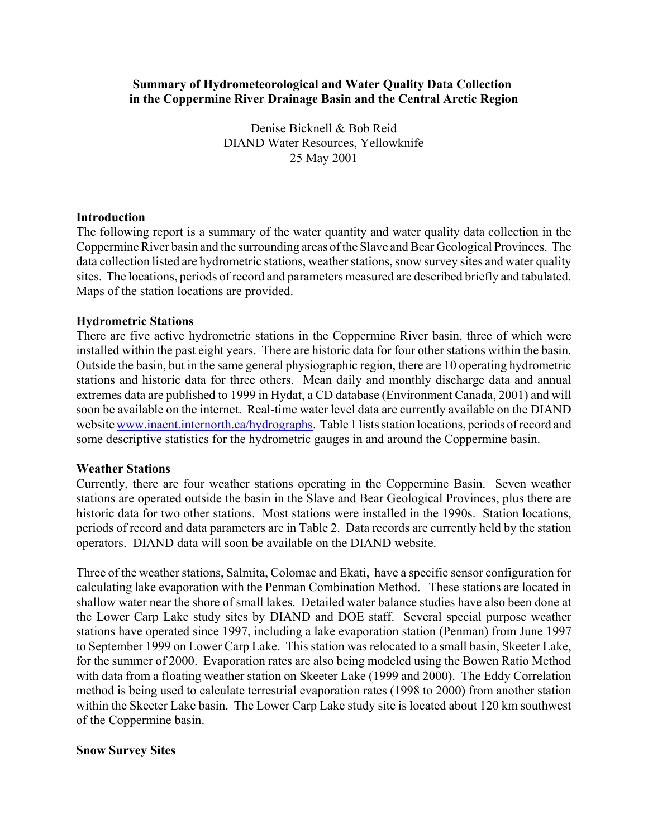## **Summary of Hydrometeorological and Water Quality Data Collection in the Coppermine River Drainage Basin and the Central Arctic Region**

Denise Bicknell & Bob Reid DIAND Water Resources, Yellowknife 25 May 2001

## **Introduction**

The following report is a summary of the water quantity and water quality data collection in the Coppermine River basin and the surrounding areas of the Slave and Bear Geological Provinces. The data collection listed are hydrometric stations, weather stations, snow survey sites and water quality sites. The locations, periods of record and parameters measured are described briefly and tabulated. Maps of the station locations are provided.

## **Hydrometric Stations**

There are five active hydrometric stations in the Coppermine River basin, three of which were installed within the past eight years. There are historic data for four other stations within the basin. Outside the basin, but in the same general physiographic region, there are 10 operating hydrometric stations and historic data for three others. Mean daily and monthly discharge data and annual extremes data are published to 1999 in Hydat, a CD database (Environment Canada, 2001) and will soon be available on the internet. Real-time water level data are currently available on the DIAND website www.inacnt.internorth.ca/hydrographs. Table 1 lists station locations, periods of record and some descriptive statistics for the hydrometric gauges in and around the Coppermine basin.

## **Weather Stations**

Currently, there are four weather stations operating in the Coppermine Basin. Seven weather stations are operated outside the basin in the Slave and Bear Geological Provinces, plus there are historic data for two other stations. Most stations were installed in the 1990s. Station locations, periods of record and data parameters are in Table 2. Data records are currently held by the station operators. DIAND data will soon be available on the DIAND website.

Three of the weather stations, Salmita, Colomac and Ekati, have a specific sensor configuration for calculating lake evaporation with the Penman Combination Method. These stations are located in shallow water near the shore of small lakes. Detailed water balance studies have also been done at the Lower Carp Lake study sites by DIAND and DOE staff. Several special purpose weather stations have operated since 1997, including a lake evaporation station (Penman) from June 1997 to September 1999 on Lower Carp Lake. This station was relocated to a small basin, Skeeter Lake, for the summer of 2000. Evaporation rates are also being modeled using the Bowen Ratio Method with data from a floating weather station on Skeeter Lake (1999 and 2000). The Eddy Correlation method is being used to calculate terrestrial evaporation rates (1998 to 2000) from another station within the Skeeter Lake basin. The Lower Carp Lake study site is located about 120 km southwest of the Coppermine basin.

## **Snow Survey Sites**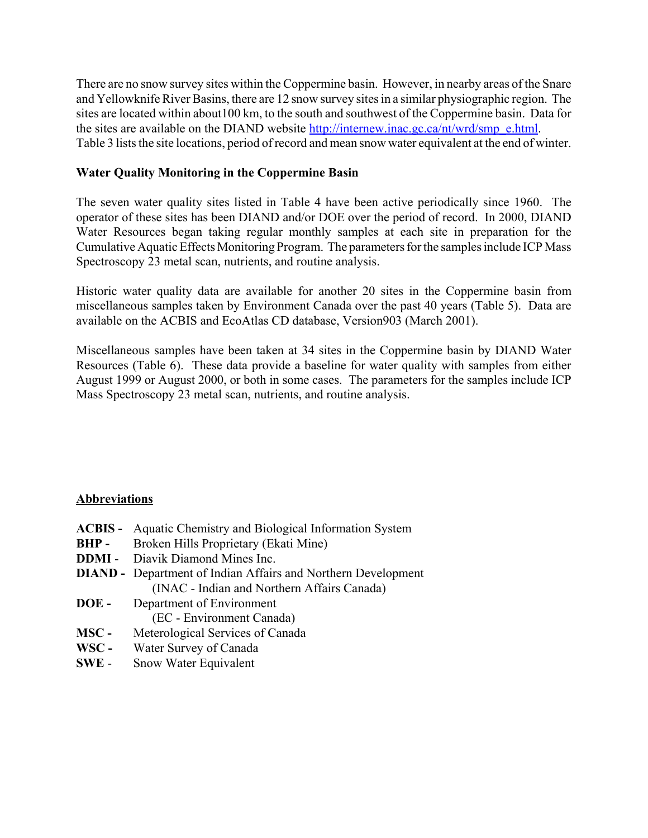There are no snow survey sites within the Coppermine basin. However, in nearby areas of the Snare and Yellowknife River Basins, there are 12 snow survey sites in a similar physiographic region. The sites are located within about100 km, to the south and southwest of the Coppermine basin. Data for the sites are available on the DIAND website http://internew.inac.gc.ca/nt/wrd/smp\_e.html. Table 3 lists the site locations, period of record and mean snow water equivalent at the end of winter.

## **Water Quality Monitoring in the Coppermine Basin**

The seven water quality sites listed in Table 4 have been active periodically since 1960. The operator of these sites has been DIAND and/or DOE over the period of record. In 2000, DIAND Water Resources began taking regular monthly samples at each site in preparation for the Cumulative Aquatic Effects Monitoring Program. The parameters for the samples include ICP Mass Spectroscopy 23 metal scan, nutrients, and routine analysis.

Historic water quality data are available for another 20 sites in the Coppermine basin from miscellaneous samples taken by Environment Canada over the past 40 years (Table 5). Data are available on the ACBIS and EcoAtlas CD database, Version903 (March 2001).

Miscellaneous samples have been taken at 34 sites in the Coppermine basin by DIAND Water Resources (Table 6). These data provide a baseline for water quality with samples from either August 1999 or August 2000, or both in some cases. The parameters for the samples include ICP Mass Spectroscopy 23 metal scan, nutrients, and routine analysis.

## **Abbreviations**

- **ACBIS -** Aquatic Chemistry and Biological Information System **BHP -** Broken Hills Proprietary (Ekati Mine) **DDMI** - Diavik Diamond Mines Inc. **DIAND -** Department of Indian Affairs and Northern Development (INAC - Indian and Northern Affairs Canada) **DOE -** Department of Environment (EC - Environment Canada) **MSC -** Meterological Services of Canada **WSC -** Water Survey of Canada
- **SWE** Snow Water Equivalent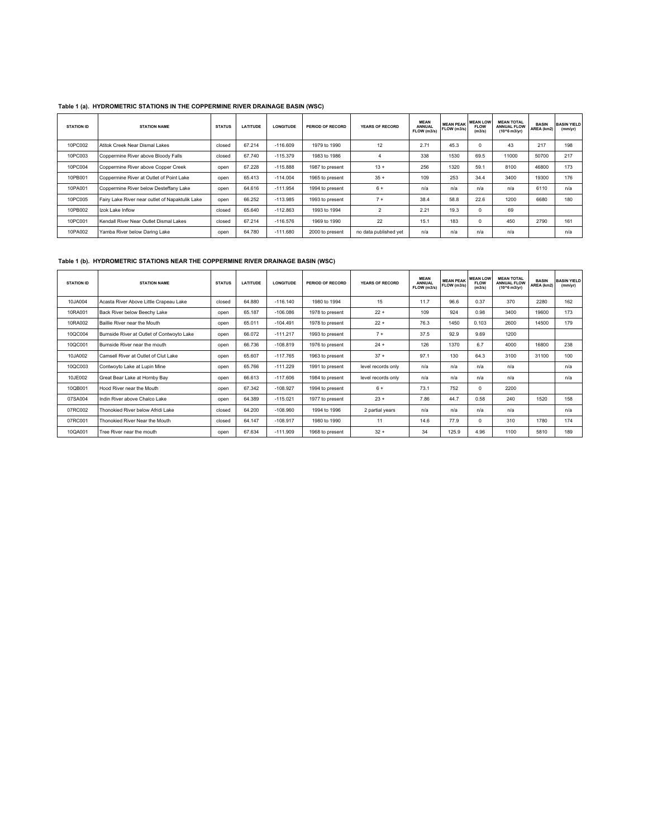| <b>STATION ID</b> | <b>STATION NAME</b>                             | <b>STATUS</b> | <b>LATITUDE</b> | <b>LONGITUDE</b> | PERIOD OF RECORD | <b>YEARS OF RECORD</b> | <b>MEAN</b><br><b>ANNUAL</b><br>FLOW (m3/s) | <b>MEAN PEAK</b><br>FLOW (m3/s) | <b>MEAN LOW</b><br><b>FLOW</b><br>(m3/s) | <b>MEAN TOTAL</b><br><b>ANNUAL FLOW</b><br>(10^6 m3/yr) | <b>BASIN</b><br>AREA (km2) | <b>BASIN YIELD</b><br>(mm/yr) |
|-------------------|-------------------------------------------------|---------------|-----------------|------------------|------------------|------------------------|---------------------------------------------|---------------------------------|------------------------------------------|---------------------------------------------------------|----------------------------|-------------------------------|
| 10PC002           | Atitok Creek Near Dismal Lakes                  | closed        | 67.214          | $-116.609$       | 1979 to 1990     | 12                     | 2.71                                        | 45.3                            | $\mathbf 0$                              | 43                                                      | 217                        | 198                           |
| 10PC003           | Coppermine River above Bloody Falls             | closed        | 67.740          | $-115.379$       | 1983 to 1986     | 4                      | 338                                         | 1530                            | 69.5                                     | 11000                                                   | 50700                      | 217                           |
| 10PC004           | Coppermine River above Copper Creek             | open          | 67.228          | $-115.888$       | 1987 to present  | $13 +$                 | 256                                         | 1320                            | 59.1                                     | 8100                                                    | 46800                      | 173                           |
| 10PB001           | Coppermine River at Outlet of Point Lake        | open          | 65.413          | $-114.004$       | 1965 to present  | $35 +$                 | 109                                         | 253                             | 34.4                                     | 3400                                                    | 19300                      | 176                           |
| 10PA001           | Coppermine River below Desteffany Lake          | open          | 64.616          | $-111.954$       | 1994 to present  | $6+$                   | n/a                                         | n/a                             | n/a                                      | n/a                                                     | 6110                       | n/a                           |
| 10PC005           | Fairy Lake River near outlet of Napaktulik Lake | open          | 66.252          | $-113.985$       | 1993 to present  | $7+$                   | 38.4                                        | 58.8                            | 22.6                                     | 1200                                                    | 6680                       | 180                           |
| 10PB002           | Izok Lake Inflow                                | closed        | 65.640          | $-112.863$       | 1993 to 1994     | $\overline{2}$         | 2.21                                        | 19.3                            | $\mathbf 0$                              | 69                                                      |                            |                               |
| 10PC001           | Kendall River Near Outlet Dismal Lakes          | closed        | 67.214          | $-116.576$       | 1969 to 1990     | 22                     | 15.1                                        | 183                             | $\mathbf 0$                              | 450                                                     | 2790                       | 161                           |
| 10PA002           | Yamba River below Daring Lake                   | open          | 64.780          | $-111.680$       | 2000 to present  | no data published yet  | n/a                                         | n/a                             | n/a                                      | n/a                                                     |                            | n/a                           |

#### **Table 1 (a). HYDROMETRIC STATIONS IN THE COPPERMINE RIVER DRAINAGE BASIN (WSC)**

#### **Table 1 (b). HYDROMETRIC STATIONS NEAR THE COPPERMINE RIVER DRAINAGE BASIN (WSC)**

| <b>STATION ID</b> | <b>STATION NAME</b>                        | <b>STATUS</b> | <b>LATITUDE</b> | <b>LONGITUDE</b> | PERIOD OF RECORD | <b>YEARS OF RECORD</b> | <b>MEAN</b><br><b>ANNUAL</b><br>FLOW (m3/s) | <b>MEAN PEAK</b><br>FLOW (m3/s) | <b>MEAN LOW</b><br><b>FLOW</b><br>(m3/s) | <b>MEAN TOTAL</b><br><b>ANNUAL FLOW</b><br>(10^6 m3/vr) | <b>BASIN</b><br>AREA (km2) | <b>BASIN YIELD</b><br>(mm/yr) |
|-------------------|--------------------------------------------|---------------|-----------------|------------------|------------------|------------------------|---------------------------------------------|---------------------------------|------------------------------------------|---------------------------------------------------------|----------------------------|-------------------------------|
| 10JA004           | Acasta River Above Little Crapeau Lake     | closed        | 64.880          | $-116.140$       | 1980 to 1994     | 15                     | 11.7                                        | 96.6                            | 0.37                                     | 370                                                     | 2280                       | 162                           |
| 10RA001           | Back River below Beechy Lake               | open          | 65.187          | $-106.086$       | 1978 to present  | $22 +$                 | 109                                         | 924                             | 0.98                                     | 3400                                                    | 19600                      | 173                           |
| 10RA002           | Baillie River near the Mouth               | open          | 65.011          | $-104.491$       | 1978 to present  | $22 +$                 | 76.3                                        | 1450                            | 0.103                                    | 2600                                                    | 14500                      | 179                           |
| 10QC004           | Burnside River at Outlet of Contwoyto Lake | open          | 66.072          | $-111.217$       | 1993 to present  | $7 +$                  | 37.5                                        | 92.9                            | 9.69                                     | 1200                                                    |                            |                               |
| 10QC001           | Burnside River near the mouth              | open          | 66.736          | $-108.819$       | 1976 to present  | $24 +$                 | 126                                         | 1370                            | 6.7                                      | 4000                                                    | 16800                      | 238                           |
| 10JA002           | Camsell River at Outlet of Clut Lake       | open          | 65.607          | $-117.765$       | 1963 to present  | $37 +$                 | 97.1                                        | 130                             | 64.3                                     | 3100                                                    | 31100                      | 100                           |
| 10QC003           | Contwoyto Lake at Lupin Mine               | open          | 65.766          | $-111.229$       | 1991 to present  | level records only     | n/a                                         | n/a                             | n/a                                      | n/a                                                     |                            | n/a                           |
| 10JE002           | Great Bear Lake at Hornby Bay              | open          | 66.613          | $-117.606$       | 1984 to present  | level records only     | n/a                                         | n/a                             | n/a                                      | n/a                                                     |                            | n/a                           |
| 10QB001           | Hood River near the Mouth                  | open          | 67.342          | $-108.927$       | 1994 to present  | $6+$                   | 73.1                                        | 752                             | 0                                        | 2200                                                    |                            |                               |
| 07SA004           | Indin River above Chalco Lake              | open          | 64.389          | $-115.021$       | 1977 to present  | $23 +$                 | 7.86                                        | 44.7                            | 0.58                                     | 240                                                     | 1520                       | 158                           |
| 07RC002           | Thonokied River below Afridi Lake          | closed        | 64.200          | $-108.960$       | 1994 to 1996     | 2 partial years        | n/a                                         | n/a                             | n/a                                      | n/a                                                     |                            | n/a                           |
| 07RC001           | Thonokied River Near the Mouth             | closed        | 64.147          | $-108.917$       | 1980 to 1990     | 11                     | 14.6                                        | 77.9                            | 0                                        | 310                                                     | 1780                       | 174                           |
| 10QA001           | Tree River near the mouth                  | open          | 67.634          | $-111.909$       | 1968 to present  | $32 +$                 | 34                                          | 125.9                           | 4.96                                     | 1100                                                    | 5810                       | 189                           |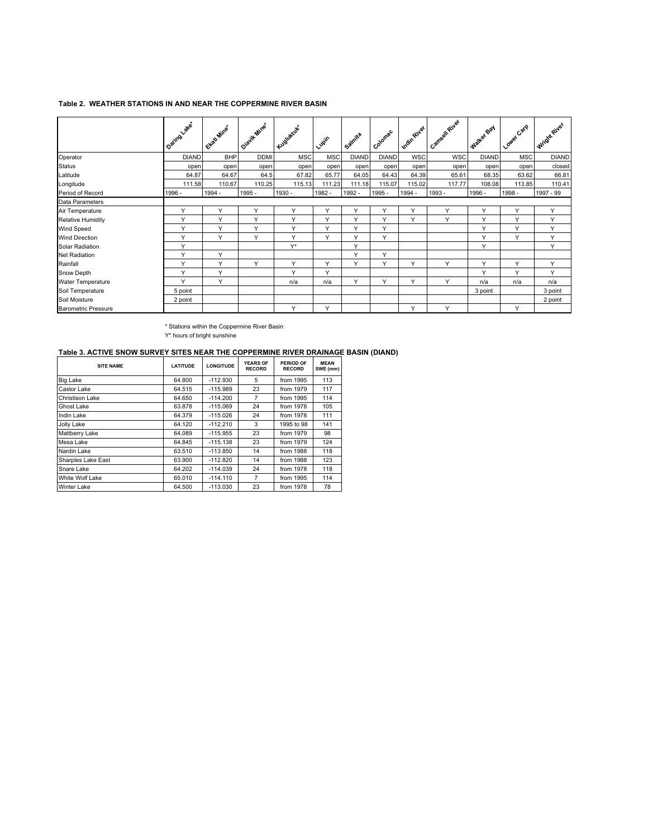#### **Table 2. WEATHER STATIONS IN AND NEAR THE COPPERMINE RIVER BASIN**

|                            | I Daring Lakes | Ettati Mine  | Olevik Mine* | Kugukuk      | Lupin        | Salmta       | Colomac      | Indin River  | I Cameal River | Walter Bay   | Lower Carp   | Wright River |
|----------------------------|----------------|--------------|--------------|--------------|--------------|--------------|--------------|--------------|----------------|--------------|--------------|--------------|
| Operator                   | <b>DIAND</b>   | <b>BHP</b>   | <b>DDMI</b>  | <b>MSC</b>   | <b>MSC</b>   | <b>DIAND</b> | <b>DIAND</b> | <b>WSC</b>   | <b>WSC</b>     | <b>DIAND</b> | <b>MSC</b>   | <b>DIAND</b> |
| Status                     | open           | open         | open         | open         | open         | open         | open         | open         | open           | open         | open         | closed       |
| Latitude                   | 64.87          | 64.67        | 64.5         | 67.82        | 65.77        | 64.05        | 64.43        | 64.39        | 65.61          | 68.35        | 63.62        | 66.81        |
| Longitude                  | 111.58         | 110.67       | 110.25       | 115.13       | 111.23       | 111.18       | 115.07       | 115.02       | 117.77         | 108.08       | 113.85       | 110.41       |
| Period of Record           | 1996 -         | 1994 -       | 1995 -       | 1930 -       | 1982 -       | 1992 -       | 1995 -       | 1994 -       | 1993 -         | 1996 -       | 1998 -       | 1997 - 99    |
| Data Parameters            |                |              |              |              |              |              |              |              |                |              |              |              |
| Air Temperature            | Y              | Y            | $\checkmark$ | Y            | Y            | $\checkmark$ | $\checkmark$ | $\checkmark$ | v              | Y            | $\checkmark$ | Y            |
| <b>Relative Humidity</b>   | Υ              | Y            | $\checkmark$ | Y            | Y            | $\checkmark$ | Y            | Y            | $\checkmark$   | Y            | Y            | Y            |
| Wind Speed                 | Y              | Y            | $\checkmark$ | Y            | Y            | $\checkmark$ | $\checkmark$ |              |                | Y            | $\checkmark$ | Y            |
| Wind Direction             | Y              | Y            | Y            | Y            | Y            | $\checkmark$ | Υ            |              |                | Y            | $\checkmark$ | Y            |
| Solar Radiation            | Y              |              |              | $Y^*$        |              | $\checkmark$ |              |              |                | Y            |              | Y            |
| Net Radiation              | Y              | Y            |              |              |              | $\checkmark$ | $\checkmark$ |              |                |              |              |              |
| Rainfall                   | Y              | Y            | Y            | Y            | Y            | $\checkmark$ | Y            | Y            | Y              | Y            | Y            | Y            |
| Snow Depth                 | Υ              | Y            |              | $\checkmark$ | $\checkmark$ |              |              |              |                | Y            | $\vee$       | Y            |
| Water Temperature          | $\checkmark$   | $\checkmark$ |              | n/a          | n/a          | $\checkmark$ | $\checkmark$ | $\checkmark$ | $\checkmark$   | n/a          | n/a          | n/a          |
| Soil Temperature           | 5 point        |              |              |              |              |              |              |              |                | 3 point      |              | 3 point      |
| Soil Moisture              | 2 point        |              |              |              |              |              |              |              |                |              |              | 2 point      |
| <b>Barometric Pressure</b> |                |              |              | Y            | Y            |              |              | $\checkmark$ | $\checkmark$   |              | Y            |              |

\* Stations within the Coppermine River Basin

Y\* hours of bright sunshine

#### **Table 3. ACTIVE SNOW SURVEY SITES NEAR THE COPPERMINE RIVER DRAINAGE BASIN (DIAND)**

| <b>SITE NAME</b>       | <b>LATITUDE</b> | <b>LONGITUDE</b> | <b>YEARS OF</b><br><b>RECORD</b> | PERIOD OF<br><b>RECORD</b> | <b>MEAN</b><br>SWE (mm) |  |
|------------------------|-----------------|------------------|----------------------------------|----------------------------|-------------------------|--|
| <b>Big Lake</b>        | 64.800          | $-112.930$       | 5                                | from 1995                  | 113                     |  |
| Castor Lake            | 64.515          | $-115.989$       | 23                               | from 1979                  | 117                     |  |
| <b>Christison Lake</b> | 64.650          | $-114.200$       | 7                                | from 1995                  | 114                     |  |
| Ghost Lake             | 63.878          | $-115.069$       | 24                               | from 1978                  | 105                     |  |
| Indin Lake             | 64.379          | $-115.026$       | 24                               | from 1978                  | 111                     |  |
| Jolly Lake             | 64.120          | $-112.210$       | 3                                | 1995 to 98                 | 141                     |  |
| Mattberry Lake         | 64.089          | $-115.955$       | 23                               | from 1979                  | 98                      |  |
| Mesa Lake              | 64.845          | $-115.138$       | 23                               | from 1979                  | 124                     |  |
| Nardin Lake            | 63.510          | $-113.850$       | 14                               | from 1988                  | 118                     |  |
| Sharples Lake East     | 63.900          | $-112.820$       | 14                               | from 1988                  | 123                     |  |
| Snare Lake             | 64.202          | $-114.039$       | 24<br>from 1978                  |                            | 118                     |  |
| White Wolf Lake        | 65.010          | $-114.110$       | $\overline{7}$                   | from 1995                  | 114                     |  |
| <b>Winter Lake</b>     | 64.500          | $-113.030$       | 23                               | from 1978                  | 78                      |  |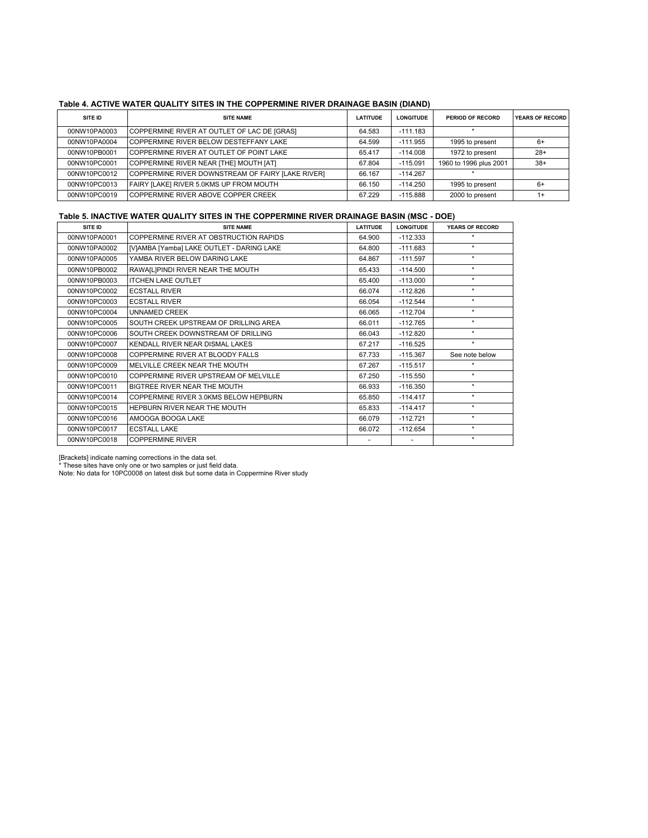#### **Table 4. ACTIVE WATER QUALITY SITES IN THE COPPERMINE RIVER DRAINAGE BASIN (DIAND)**

| SITE ID      | <b>SITE NAME</b>                                  | <b>LATITUDE</b> | <b>LONGITUDE</b> | PERIOD OF RECORD       | <b>YEARS OF RECORD</b> |
|--------------|---------------------------------------------------|-----------------|------------------|------------------------|------------------------|
| 00NW10PA0003 | COPPERMINE RIVER AT OUTLET OF LAC DE [GRAS]       | 64.583          | $-111.183$       |                        |                        |
| 00NW10PA0004 | COPPERMINE RIVER BELOW DESTEFFANY LAKE            | 64.599          | $-111.955$       | 1995 to present        | 6+                     |
| 00NW10PB0001 | COPPERMINE RIVER AT OUTLET OF POINT LAKE          | 65.417          | $-114.008$       | 1972 to present        | $28+$                  |
| 00NW10PC0001 | COPPERMINE RIVER NEAR [THE] MOUTH [AT]            | 67.804          | $-115.091$       | 1960 to 1996 plus 2001 | $38+$                  |
| 00NW10PC0012 | COPPERMINE RIVER DOWNSTREAM OF FAIRY [LAKE RIVER] | 66.167          | $-114.267$       |                        |                        |
| 00NW10PC0013 | FAIRY [LAKE] RIVER 5.0KMS UP FROM MOUTH           | 66.150          | $-114.250$       | 1995 to present        | 6+                     |
| 00NW10PC0019 | COPPERMINE RIVER ABOVE COPPER CREEK               | 67.229          | $-115.888$       | 2000 to present        | $1+$                   |

#### **Table 5. INACTIVE WATER QUALITY SITES IN THE COPPERMINE RIVER DRAINAGE BASIN (MSC - DOE)**

| SITE ID      | <b>SITE NAME</b>                          | <b>LATITUDE</b> | <b>LONGITUDE</b> | YEARS OF RECORD |
|--------------|-------------------------------------------|-----------------|------------------|-----------------|
| 00NW10PA0001 | COPPERMINE RIVER AT OBSTRUCTION RAPIDS    | 64.900          | $-112.333$       | $\star$         |
| 00NW10PA0002 | [V]AMBA [Yamba] LAKE OUTLET - DARING LAKE | 64.800          | $-111.683$       | $\star$         |
| 00NW10PA0005 | YAMBA RIVER BELOW DARING LAKE             | 64.867          | $-111.597$       | $\star$         |
| 00NW10PB0002 | RAWA[L]PINDI RIVER NEAR THE MOUTH         | 65.433          | $-114.500$       | $\star$         |
| 00NW10PB0003 | <b>ITCHEN LAKE OUTLET</b>                 | 65.400          | $-113.000$       | $\star$         |
| 00NW10PC0002 | <b>ECSTALL RIVER</b>                      | 66.074          | $-112.826$       | $\star$         |
| 00NW10PC0003 | <b>ECSTALL RIVER</b>                      | 66.054          | $-112.544$       | $\star$         |
| 00NW10PC0004 | <b>UNNAMED CREEK</b>                      | 66.065          | $-112.704$       | $\star$         |
| 00NW10PC0005 | SOUTH CREEK UPSTREAM OF DRILLING AREA     | 66.011          | $-112.765$       | $\star$         |
| 00NW10PC0006 | SOUTH CREEK DOWNSTREAM OF DRILLING        | 66.043          | $-112.820$       | $\star$         |
| 00NW10PC0007 | KENDALL RIVER NEAR DISMAL LAKES           | 67.217          | $-116.525$       | $\star$         |
| 00NW10PC0008 | COPPERMINE RIVER AT BLOODY FALLS          | 67.733          | $-115.367$       | See note below  |
| 00NW10PC0009 | MELVILLE CREEK NEAR THE MOUTH             | 67.267          | $-115.517$       | $\star$         |
| 00NW10PC0010 | COPPERMINE RIVER UPSTREAM OF MELVILLE     | 67.250          | $-115.550$       | $\star$         |
| 00NW10PC0011 | BIGTREE RIVER NEAR THE MOUTH              | 66.933          | $-116.350$       | $\star$         |
| 00NW10PC0014 | COPPERMINE RIVER 3.0KMS BELOW HEPBURN     | 65.850          | $-114.417$       | $\star$         |
| 00NW10PC0015 | HEPBURN RIVER NEAR THE MOUTH              | 65.833          | $-114.417$       | $\star$         |
| 00NW10PC0016 | AMOOGA BOOGA LAKE                         | 66.079          | $-112.721$       | $\star$         |
| 00NW10PC0017 | <b>ECSTALL LAKE</b>                       | 66.072          | $-112.654$       | $\star$         |
| 00NW10PC0018 | <b>COPPERMINE RIVER</b>                   |                 |                  | $\star$         |

[Brackets] indicate naming corrections in the data set.

\* These sites have only one or two samples or just field data.

Note: No data for 10PC0008 on latest disk but some data in Coppermine River study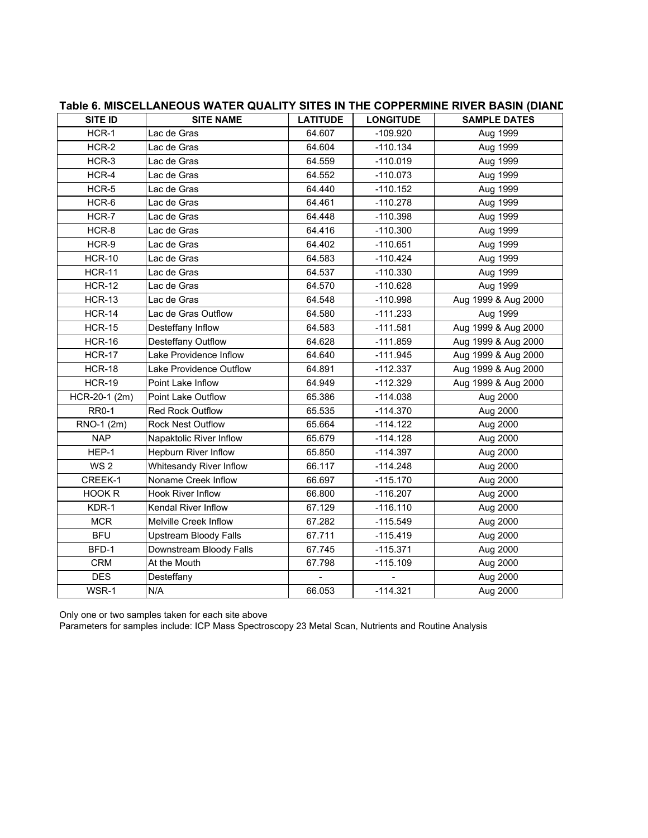## **SITE ID SITE NAME LATITUDE LONGITUDE SAMPLE DATES** HCR-1 |Lac de Gras | 64.607 | -109.920 | Aug 1999 HCR-2 |Lac de Gras | 64.604 | -110.134 | Aug 1999 HCR-3 |Lac de Gras | 64.559 | -110.019 | Aug 1999 HCR-4 |Lac de Gras | 64.552 | -110.073 | Aug 1999 HCR-5 |Lac de Gras | 64.440 | -110.152 | Aug 1999 HCR-6 |Lac de Gras | 64.461 | -110.278 | Aug 1999 HCR-7 |Lac de Gras | 64.448 | -110.398 | Aug 1999 HCR-8 |Lac de Gras | 64.416 | -110.300 | Aug 1999 HCR-9 |Lac de Gras | 64.402 | -110.651 | Aug 1999 HCR-10 |Lac de Gras | 64.583 | -110.424 | Aug 1999 HCR-11 |Lac de Gras | 64.537 | -110.330 | Aug 1999 HCR-12 |Lac de Gras | 64.570 | -110.628 | Aug 1999 HCR-13 Lac de Gras 1999 B CALSAB -110.998 Aug 1999 & Aug 2000 HCR-14 | Lac de Gras Outflow | 64.580 | -111.233 | Aug 1999 HCR-15 |Desteffany Inflow | 64.583 | -111.581 | Aug 1999 & Aug 2000 HCR-16 Desteffany Outflow 1 64.628 -111.859 Aug 1999 & Aug 2000 HCR-17 | Lake Providence Inflow | 64.640 | -111.945 | Aug 1999 & Aug 2000  $HCR-18$  Lake Providence Outflow  $\begin{vmatrix} 64.891 & -112.337 \end{vmatrix}$  Aug 1999 & Aug 2000 HCR-19 | Point Lake Inflow | 64.949 | -112.329 | Aug 1999 & Aug 2000 HCR-20-1 (2m) Point Lake Outflow  $\vert$  65.386 | -114.038 | Aug 2000 RR0-1 Red Rock Outflow 1 65.535 -114.370 Aug 2000  $\mathsf{RNO-1 (2m)}$   $\qquad \qquad$  Rock Nest Outflow  $\qquad \qquad$  65.664  $\qquad$  -114.122  $\qquad$  Aug 2000 NAP | Napaktolic River Inflow | 65.679 | -114.128 | Aug 2000 HEP-1 Hepburn River Inflow 1 65.850 -114.397 Aug 2000 WS 2 Whitesandy River Inflow 1 66.117 -114.248 Aug 2000 CREEK-1 Noname Creek Inflow | 66.697 | -115.170 | Aug 2000 HOOK R Hook River Inflow 1 66.800 -116.207 Aug 2000 KDR-1 Kendal River Inflow  $\vert$  67.129 | -116.110 | Aug 2000 MCR  $\vert$  Melville Creek Inflow  $\vert$  67.282  $\vert$  -115.549  $\vert$  Aug 2000 BFU | Upstream Bloody Falls | 67.711 | -115.419 | Aug 2000 BFD-1 Downstream Bloody Falls 67.745 -115.371 Aug 2000  $CRM$  At the Mouth  $\vert$  67.798  $\vert$  -115.109  $\vert$  Aug 2000 DES Desteffany - - Aug 2000 WSR-1 |N/A | 66.053 | -114.321 | Aug 2000

## **Table 6. MISCELLANEOUS WATER QUALITY SITES IN THE COPPERMINE RIVER BASIN (DIAND**

Only one or two samples taken for each site above

Parameters for samples include: ICP Mass Spectroscopy 23 Metal Scan, Nutrients and Routine Analysis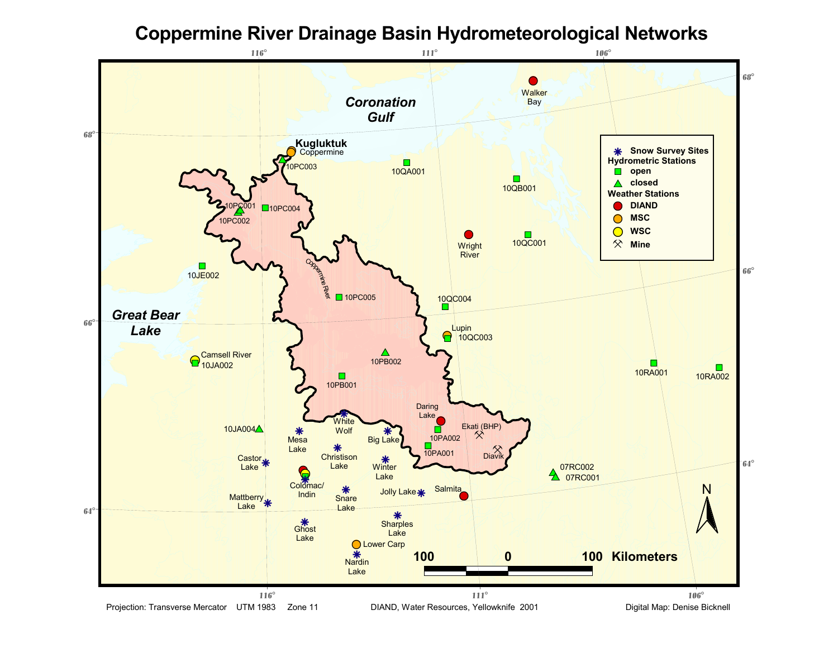## **Coppermine River Drainage Basin Hydrometeorological Networks**